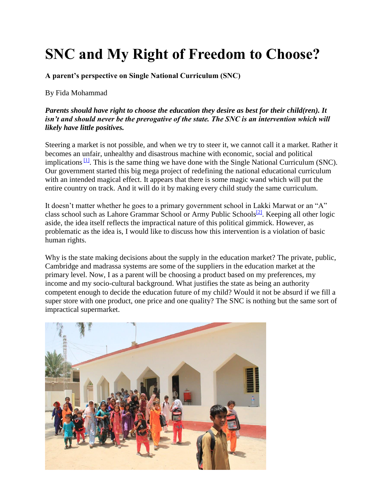## **SNC and My Right of Freedom to Choose?**

**A parent's perspective on Single National Curriculum (SNC)**

By Fida Mohammad

## *Parents should have right to choose the education they desire as best for their child(ren). It isn't and should never be the prerogative of the state. The SNC is an intervention which will likely have little positives.*

Steering a market is not possible, and when we try to steer it, we cannot call it a market. Rather it becomes an unfair, unhealthy and disastrous machine with economic, social and political implications  $\frac{11}{2}$ . This is the same thing we have done with the Single National Curriculum (SNC). Our government started this big mega project of redefining the national educational curriculum with an intended magical effect. It appears that there is some magic wand which will put the entire country on track. And it will do it by making every child study the same curriculum.

It doesn't matter whether he goes to a primary government school in Lakki Marwat or an "A" class school such as Lahore Grammar School or Army Public Schools<sup>[\[2\]](http://www.mofept.gov.pk/ProjectDetail/MzkyNDc2MjMtY2VjYy00ZDA4LTk5OTUtNzUyNDI3ZWMzN2Rm)</sup>. Keeping all other logic aside, the idea itself reflects the impractical nature of this political gimmick. However, as problematic as the idea is, I would like to discuss how this intervention is a violation of basic human rights.

Why is the state making decisions about the supply in the education market? The private, public, Cambridge and madrassa systems are some of the suppliers in the education market at the primary level. Now, I as a parent will be choosing a product based on my preferences, my income and my socio-cultural background. What justifies the state as being an authority competent enough to decide the education future of my child? Would it not be absurd if we fill a super store with one product, one price and one quality? The SNC is nothing but the same sort of impractical supermarket.